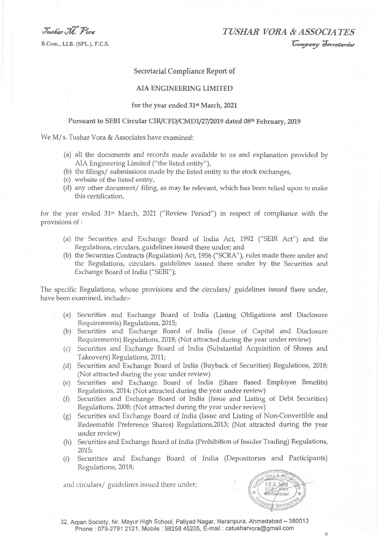Tushar . W. Vora

B.Com., LLB. (SPL.), F.C.S.

TUSHAR VORA & ASSOCIATES *Company Secretaries* 

## **Secretarial Compliance Report of**

## **AIA ENGINEERING LIMITED**

## for the year ended 31st March, 2021

## Pursuant to SEBI Circular CIR/CFD/CMD1/27/2019 dated 08th February, 2019

We M/s. Tushar Vora & Associates have examined:

- (a) all the documents and records made available to us and explanation provided by AIA Engineering Limited ("the listed entity"),
- (b) the filings/ submissions made by the listed entity to the stock exchanges,
- (c) website of the listed entity,
- (d) any other document/ filing, as may be relevant, which has been relied upon to make this certification,

for the year ended 31<sup>st</sup> March, 2021 ("Review Period") in respect of compliance with the provisions of:

- (a) the Securities and Exchange Board of India Act, 1992 ("SEBI Act") and the Regulations, circulars, guidelines issued there under; and
- (b) the Securities Contracts (Regulation) Act, 1956 ("SCRA"), rules made there under and the Regulations, circulars, guidelines issued there under by the Securities and Exchange Board of India ("SEBI");

The specific Regulations, whose provisions and the circulars/ guidelines issued there under, have been examined, include:-

- (a) Securities and Exchange Board of India (Listing Obligations and Disclosure Requirements) Regulations, 2015;
- (b) Securities and Exchange Board of India (Issue of Capital and Disclosure Requirements) Regulations, 2018; (Not attracted during the year under review)
- (c) Securities and Exchange Board of India (Substantial Acquisition of Shares and Takeovers) Regulations, 2011;
- (d) Securities and Exchange Board of India (Buyback of Securities) Regulations, 2018; (Not attracted during the year under review)
- (e) Securities and Exchange Board of India (Share Based Employee Benefits) Regulations, 2014; (Not attracted during the year under review)
- (f) Securities and Exchange Board of India (Issue and Listing of Debt Securities) Regulations, 2008; (Not attracted during the year under review)
- (g) Securities and Exchange Board of India (Issue and Listing of Non-Convertible and Redeemable Preference Shares) Regulations, 2013; (Not attracted during the year under review)
- (h) Securities and Exchange Board of India (Prohibition of Insider Trading) Regulations,  $2015:$
- (i) Securities and Exchange Board of India (Depositories and Participants) Regulations, 2018;

and circulars/ guidelines issued there under;



32, Arpan Society, Nr. Mayur High School, Paliyad Nagar, Naranpura, Ahmedabad - 380013 Phone: 079-2791 2121, Mobile: 98258 45205, E-mail: cstusharvora@gmail.com